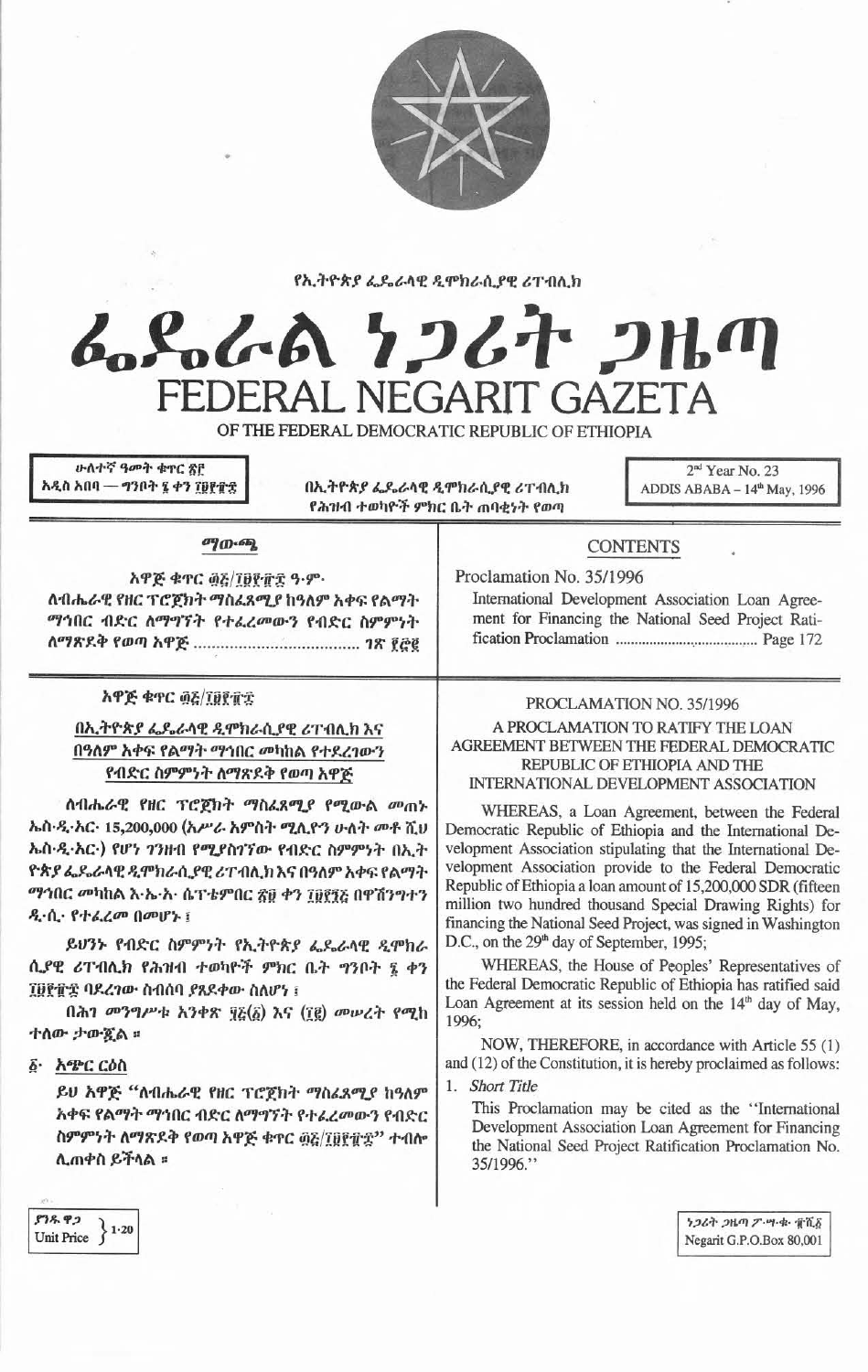

የኢትዮጵያ ፌዴራላዊ ዲሞክራሲያዊ ሪፐብሊክ

# んらんてん クンムオ つルの FEDERAL NEGARIT GAZETA

OF THE FEDERAL DEMOCRATIC REPUBLIC OF ETHIOPIA

**ሁለተኛ ዓመት ቁ**ኖር ጽቮ አዲስ አበባ — ግንቦት ፯ ቀን ፲፱፻፹፰

በኢትዮጵያ ፌዴራላዊ ዲሞክራሲያዊ ሪፐብሊክ የሕዝብ ተወካዮች ምክር ቤት ጠባቂነት የወጣ

2<sup>nd</sup> Year No. 23 ADDIS ABABA -  $14<sup>th</sup>$  May, 1996

#### ுற-ஆ

አዋጅ ቁጥር ፴፩/፲፱፻፹፰ ዓ.ም. ለብሔራዊ የዘር ፕሮጀክት ማስፈጸሚያ ከዓለም አቀፍ የልማት ማኅበር ብድር ለማግኘት የተፈረመውን የብድር ስምምነት 

# አዋጅ ቁዋር ፴፭/፲፱፻፹፰

# በኢትዮጵያ ፌዴራላዊ ዲሞክራሲያዊ ሪፐብሊክ እና በዓለም አቀፍ የልማት ማኅበር መካከል የተደረገውን የብድር ስምምነት ለማጽደቅ የወጣ አዋጅ

ለብሔራዊ የዘር ፕሮጀክት ማስፈጸሚያ የሚውል መጠኑ ኤስ·ዲ·አር· 15,200,000 (አሥራ አምስት ሚሊዮን ሁለት መቶ ሺህ ኤስ·ዲ·አር·) የሆነ ገንዘብ የሚያስገኘው የብድር ስምምነት በኢት ዮጵያ ፌዴራላዊ ዲሞክራሲያዊ ሪፐብሲክ እና በዓለም አቀፍ የልማት ማኅበር መካከል እ·ኤ·አ· ሴፕ·ቴምበር ፳፱ ቀን ፲፱፻፺፩ በዋሽንግተን ዲ·ሲ· የተራረመ በመሆኑ ፤

ይሀንኑ የብድር ስምምነት የኢትዮጵያ ፌዴራላዊ ዲሞክራ ሲያዊ ሪፐብሊክ የሕዝብ ተወካዮች ምክር ቤት ግንቦት ፯ ቀን ፲፱፻፹፰ ባደረገው ስብሰባ ያጸደቀው ስለሆነ ፤

በሕገ መንግሥቱ አንቀጽ ፶፩(፩) እና (፲፪) መሠረት የሚከ ተለው ታውጇል ፡

፩· አጭር ርዕስ

ይሀ አዋጅ "ለብሔራዊ የዘር ፕሮጀክት ማስሬጸሚያ ከዓለም አቀፍ የልማት ማኅበር ብድር ለማግኘት የተፈረመውን የብድር ስምምነት ለማጽደቅ የወጣ አዋጅ ቁጥር ፴፩/፲፱፻፹፰'' ተብሎ ሊጠቀስ ይችላል ።

# **CONTENTS**

Proclamation No. 35/1996 International Development Association Loan Agreement for Financing the National Seed Project Rati-

# PROCLAMATION NO. 35/1996

#### A PROCLAMATION TO RATIFY THE LOAN AGREEMENT BETWEEN THE FEDERAL DEMOCRATIC REPUBLIC OF ETHIOPIA AND THE **INTERNATIONAL DEVELOPMENT ASSOCIATION**

WHEREAS, a Loan Agreement, between the Federal Democratic Republic of Ethiopia and the International Development Association stipulating that the International Development Association provide to the Federal Democratic Republic of Ethiopia a loan amount of 15,200,000 SDR (fifteen million two hundred thousand Special Drawing Rights) for financing the National Seed Project, was signed in Washington D.C., on the 29<sup>th</sup> day of September, 1995;

WHEREAS, the House of Peoples' Representatives of the Federal Democratic Republic of Ethiopia has ratified said Loan Agreement at its session held on the  $14<sup>th</sup>$  day of May, 1996:

NOW, THEREFORE, in accordance with Article 55 (1) and (12) of the Constitution, it is hereby proclaimed as follows:

1. Short Title

This Proclamation may be cited as the "International Development Association Loan Agreement for Financing the National Seed Project Ratification Proclamation No. 35/1996."

 $938.92$ Unit Price  $\left.\begin{matrix} 1 & 20 \\ 1 & 20 \end{matrix}\right\}$ 

ነጋሪት ጋዜጣ ፖ ሣ ቁ ቁሺ፩ Negarit G.P.O.Box 80,001